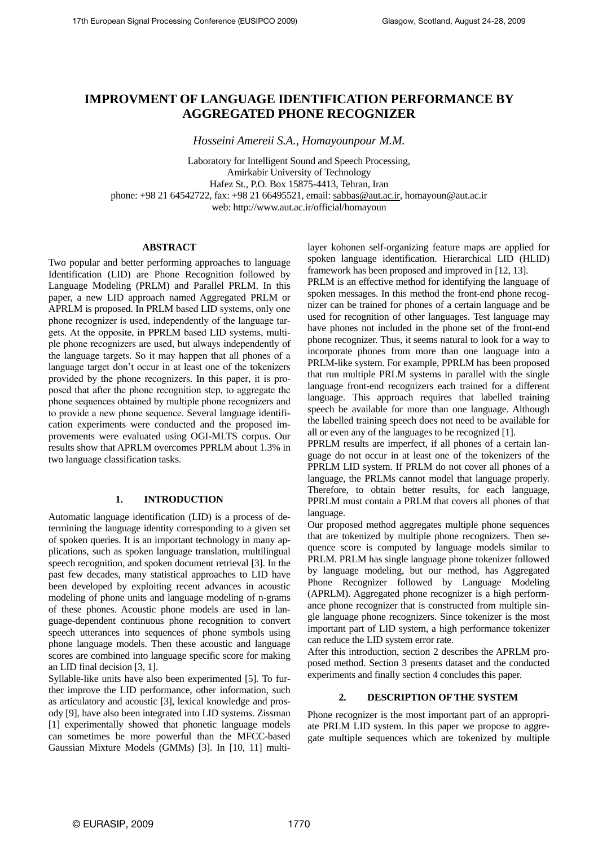# **IMPROVMENT OF LANGUAGE IDENTIFICATION PERFORMANCE BY AGGREGATED PHONE RECOGNIZER**

*Hosseini Amereii S.A., Homayounpour M.M.*

Laboratory for Intelligent Sound and Speech Processing, Amirkabir University of Technology Hafez St., P.O. Box 15875-4413, Tehran, Iran phone: +98 21 64542722, fax: +98 21 66495521, email: sabbas@aut.ac.ir, homayoun@aut.ac.ir web: http://www.aut.ac.ir/official/homayoun

# **ABSTRACT**

Two popular and better performing approaches to language Identification (LID) are Phone Recognition followed by Language Modeling (PRLM) and Parallel PRLM. In this paper, a new LID approach named Aggregated PRLM or APRLM is proposed. In PRLM based LID systems, only one phone recognizer is used, independently of the language targets. At the opposite, in PPRLM based LID systems, multiple phone recognizers are used, but always independently of the language targets. So it may happen that all phones of a language target don't occur in at least one of the tokenizers provided by the phone recognizers. In this paper, it is proposed that after the phone recognition step, to aggregate the phone sequences obtained by multiple phone recognizers and to provide a new phone sequence. Several language identification experiments were conducted and the proposed improvements were evaluated using OGI-MLTS corpus. Our results show that APRLM overcomes PPRLM about 1.3% in two language classification tasks.

# **1. INTRODUCTION**

Automatic language identification (LID) is a process of determining the language identity corresponding to a given set of spoken queries. It is an important technology in many applications, such as spoken language translation, multilingual speech recognition, and spoken document retrieval [3]. In the past few decades, many statistical approaches to LID have been developed by exploiting recent advances in acoustic modeling of phone units and language modeling of n-grams of these phones. Acoustic phone models are used in language-dependent continuous phone recognition to convert speech utterances into sequences of phone symbols using phone language models. Then these acoustic and language scores are combined into language specific score for making an LID final decision [3, 1].

Syllable-like units have also been experimented [5]. To further improve the LID performance, other information, such as articulatory and acoustic [3], lexical knowledge and prosody [9], have also been integrated into LID systems. Zissman [1] experimentally showed that phonetic language models can sometimes be more powerful than the MFCC-based Gaussian Mixture Models (GMMs) [3]. In [10, 11] multilayer kohonen self-organizing feature maps are applied for spoken language identification. Hierarchical LID (HLID) framework has been proposed and improved in [12, 13].

PRLM is an effective method for identifying the language of spoken messages. In this method the front-end phone recognizer can be trained for phones of a certain language and be used for recognition of other languages. Test language may have phones not included in the phone set of the front-end phone recognizer. Thus, it seems natural to look for a way to incorporate phones from more than one language into a PRLM-like system. For example, PPRLM has been proposed that run multiple PRLM systems in parallel with the single language front-end recognizers each trained for a different language. This approach requires that labelled training speech be available for more than one language. Although the labelled training speech does not need to be available for all or even any of the languages to be recognized [1].

PPRLM results are imperfect, if all phones of a certain language do not occur in at least one of the tokenizers of the PPRLM LID system. If PRLM do not cover all phones of a language, the PRLMs cannot model that language properly. Therefore, to obtain better results, for each language, PPRLM must contain a PRLM that covers all phones of that language.

Our proposed method aggregates multiple phone sequences that are tokenized by multiple phone recognizers. Then sequence score is computed by language models similar to PRLM. PRLM has single language phone tokenizer followed by language modeling, but our method, has Aggregated Phone Recognizer followed by Language Modeling (APRLM). Aggregated phone recognizer is a high performance phone recognizer that is constructed from multiple single language phone recognizers. Since tokenizer is the most important part of LID system, a high performance tokenizer can reduce the LID system error rate.

After this introduction, section 2 describes the APRLM proposed method. Section 3 presents dataset and the conducted experiments and finally section 4 concludes this paper.

# **2. DESCRIPTION OF THE SYSTEM**

Phone recognizer is the most important part of an appropriate PRLM LID system. In this paper we propose to aggregate multiple sequences which are tokenized by multiple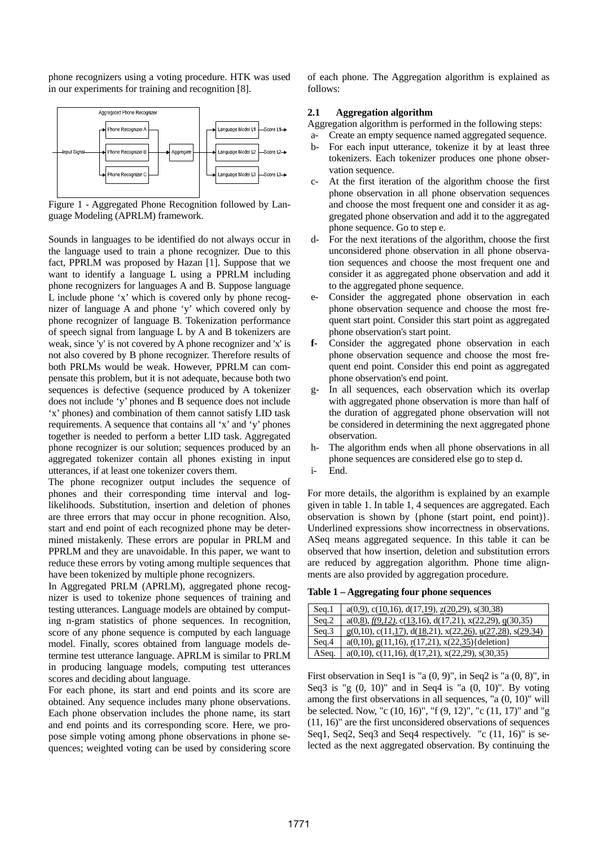phone recognizers using a voting procedure. HTK was used in our experiments for training and recognition [8].



Figure 1 - Aggregated Phone Recognition followed by Language Modeling (APRLM) framework.

Sounds in languages to be identified do not always occur in the language used to train a phone recognizer. Due to this fact, PPRLM was proposed by Hazan [1]. Suppose that we want to identify a language L using a PPRLM including phone recognizers for languages A and B. Suppose language L include phone 'x' which is covered only by phone recognizer of language A and phone 'y' which covered only by phone recognizer of language B. Tokenization performance of speech signal from language L by A and B tokenizers are weak, since 'y' is not covered by A phone recognizer and 'x' is not also covered by B phone recognizer. Therefore results of both PRLMs would be weak. However, PPRLM can compensate this problem, but it is not adequate, because both two sequences is defective (sequence produced by A tokenizer does not include 'y' phones and B sequence does not include 'x' phones) and combination of them cannot satisfy LID task requirements. A sequence that contains all 'x' and 'y' phones together is needed to perform a better LID task. Aggregated phone recognizer is our solution; sequences produced by an aggregated tokenizer contain all phones existing in input utterances, if at least one tokenizer covers them.

The phone recognizer output includes the sequence of phones and their corresponding time interval and loglikelihoods. Substitution, insertion and deletion of phones are three errors that may occur in phone recognition. Also, start and end point of each recognized phone may be determined mistakenly. These errors are popular in PRLM and PPRLM and they are unavoidable. In this paper, we want to reduce these errors by voting among multiple sequences that have been tokenized by multiple phone recognizers.

In Aggregated PRLM (APRLM), aggregated phone recognizer is used to tokenize phone sequences of training and testing utterances. Language models are obtained by computing n-gram statistics of phone sequences. In recognition, score of any phone sequence is computed by each language model. Finally, scores obtained from language models determine test utterance language. APRLM is similar to PRLM in producing language models, computing test utterances scores and deciding about language.

For each phone, its start and end points and its score are obtained. Any sequence includes many phone observations. Each phone observation includes the phone name, its start and end points and its corresponding score. Here, we propose simple voting among phone observations in phone sequences; weighted voting can be used by considering score of each phone. The Aggregation algorithm is explained as follows:

# **2.1 Aggregation algorithm**

Aggregation algorithm is performed in the following steps:

- a- Create an empty sequence named aggregated sequence.
- b- For each input utterance, tokenize it by at least three tokenizers. Each tokenizer produces one phone observation sequence.
- c- At the first iteration of the algorithm choose the first phone observation in all phone observation sequences and choose the most frequent one and consider it as aggregated phone observation and add it to the aggregated phone sequence. Go to step e.
- d- For the next iterations of the algorithm, choose the first unconsidered phone observation in all phone observation sequences and choose the most frequent one and consider it as aggregated phone observation and add it to the aggregated phone sequence.
- e- Consider the aggregated phone observation in each phone observation sequence and choose the most frequent start point. Consider this start point as aggregated phone observation's start point.
- **f-** Consider the aggregated phone observation in each phone observation sequence and choose the most frequent end point. Consider this end point as aggregated phone observation's end point.
- g- In all sequences, each observation which its overlap with aggregated phone observation is more than half of the duration of aggregated phone observation will not be considered in determining the next aggregated phone observation.
- h- The algorithm ends when all phone observations in all phone sequences are considered else go to step d.
- i- End.

For more details, the algorithm is explained by an example given in table 1. In table 1, 4 sequences are aggregated. Each observation is shown by {phone (start point, end point)}. Underlined expressions show incorrectness in observations. ASeq means aggregated sequence. In this table it can be observed that how insertion, deletion and substitution errors are reduced by aggregation algorithm. Phone time alignments are also provided by aggregation procedure.

**Table 1 – Aggregating four phone sequences** 

| Seq.1 | $a(0,9)$ , c(10,16), d(17,19), z(20,29), s(30,38)                     |
|-------|-----------------------------------------------------------------------|
| Seq.2 | $a(0,\underline{8}), f(9,12), c(13,16), d(17,21), x(22,29), g(30,35)$ |
| Seq.3 | $g(0,10)$ , c(11,17), d(18,21), x(22,26), u(27,28), s(29,34)          |
| Seq.4 | $a(0,10), g(11,16), r(17,21), x(22,35)$ {deletion}                    |
| ASeq. | $a(0,10)$ , c(11,16), d(17,21), x(22,29), s(30,35)                    |

First observation in Seq1 is "a  $(0, 9)$ ", in Seq2 is "a  $(0, 8)$ ", in Seq $3$  is "g  $(0, 10)$ " and in Seq $4$  is "a  $(0, 10)$ ". By voting among the first observations in all sequences, "a (0, 10)" will be selected. Now, "c (10, 16)", "f (9, 12)", "c (11, 17)" and "g (11, 16)" are the first unconsidered observations of sequences Seq1, Seq2, Seq3 and Seq4 respectively. "c (11, 16)" is selected as the next aggregated observation. By continuing the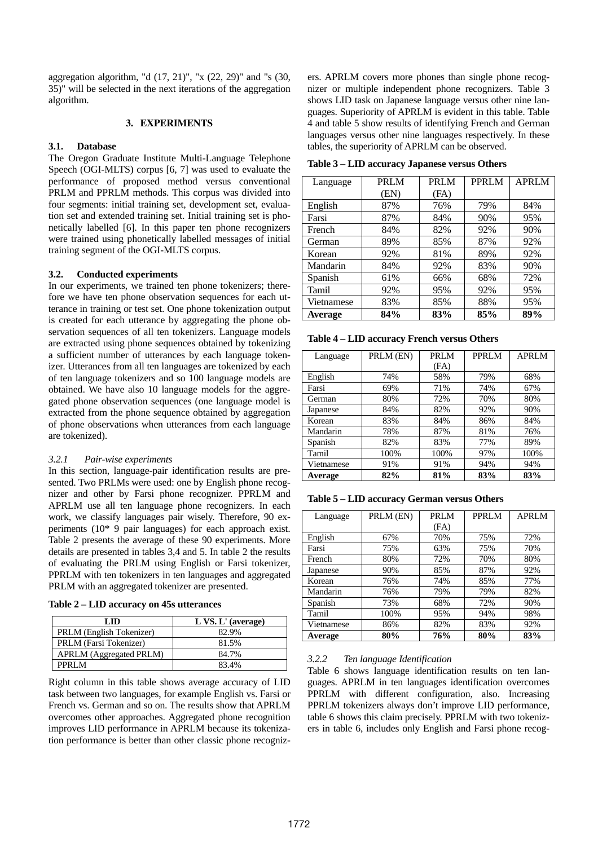aggregation algorithm, "d (17, 21)", "x (22, 29)" and "s (30, 35)" will be selected in the next iterations of the aggregation algorithm.

## **3. EXPERIMENTS**

#### **3.1. Database**

The Oregon Graduate Institute Multi-Language Telephone Speech (OGI-MLTS) corpus [6, 7] was used to evaluate the performance of proposed method versus conventional PRLM and PPRLM methods. This corpus was divided into four segments: initial training set, development set, evaluation set and extended training set. Initial training set is phonetically labelled [6]. In this paper ten phone recognizers were trained using phonetically labelled messages of initial training segment of the OGI-MLTS corpus.

## **3.2. Conducted experiments**

In our experiments, we trained ten phone tokenizers; therefore we have ten phone observation sequences for each utterance in training or test set. One phone tokenization output is created for each utterance by aggregating the phone observation sequences of all ten tokenizers. Language models are extracted using phone sequences obtained by tokenizing a sufficient number of utterances by each language tokenizer. Utterances from all ten languages are tokenized by each of ten language tokenizers and so 100 language models are obtained. We have also 10 language models for the aggregated phone observation sequences (one language model is extracted from the phone sequence obtained by aggregation of phone observations when utterances from each language are tokenized).

#### *3.2.1 Pair-wise experiments*

In this section, language-pair identification results are presented. Two PRLMs were used: one by English phone recognizer and other by Farsi phone recognizer. PPRLM and APRLM use all ten language phone recognizers. In each work, we classify languages pair wisely. Therefore, 90 experiments (10\* 9 pair languages) for each approach exist. Table 2 presents the average of these 90 experiments. More details are presented in tables 3,4 and 5. In table 2 the results of evaluating the PRLM using English or Farsi tokenizer, PPRLM with ten tokenizers in ten languages and aggregated PRLM with an aggregated tokenizer are presented.

|  |  |  |  |  | Table 2 – LID accuracy on 45s utterances |
|--|--|--|--|--|------------------------------------------|
|--|--|--|--|--|------------------------------------------|

| LID                            | $L$ VS. $L'$ (average) |
|--------------------------------|------------------------|
| PRLM (English Tokenizer)       | 82.9%                  |
| PRLM (Farsi Tokenizer)         | 81.5%                  |
| <b>APRLM</b> (Aggregated PRLM) | 84.7%                  |
| PPRI M                         | 83.4%                  |

Right column in this table shows average accuracy of LID task between two languages, for example English vs. Farsi or French vs. German and so on. The results show that APRLM overcomes other approaches. Aggregated phone recognition improves LID performance in APRLM because its tokenization performance is better than other classic phone recognizers. APRLM covers more phones than single phone recognizer or multiple independent phone recognizers. Table 3 shows LID task on Japanese language versus other nine languages. Superiority of APRLM is evident in this table. Table 4 and table 5 show results of identifying French and German languages versus other nine languages respectively. In these tables, the superiority of APRLM can be observed.

**Table 3 – LID accuracy Japanese versus Others** 

| Language   | <b>PRLM</b> | <b>PRLM</b> | <b>PPRLM</b> | <b>APRLM</b> |
|------------|-------------|-------------|--------------|--------------|
|            | (EN)        | (FA)        |              |              |
| English    | 87%         | 76%         | 79%          | 84%          |
| Farsi      | 87%         | 84%         | 90%          | 95%          |
| French     | 84%         | 82%         | 92%          | 90%          |
| German     | 89%         | 85%         | 87%          | 92%          |
| Korean     | 92%         | 81%         | 89%          | 92%          |
| Mandarin   | 84%         | 92%         | 83%          | 90%          |
| Spanish    | 61%         | 66%         | 68%          | 72%          |
| Tamil      | 92%         | 95%         | 92%          | 95%          |
| Vietnamese | 83%         | 85%         | 88%          | 95%          |
| Average    | 84%         | 83%         | 85%          | 89%          |

**Table 4 – LID accuracy French versus Others** 

| Language   | PRLM (EN) | <b>PRLM</b> | PPRLM | <b>APRLM</b> |
|------------|-----------|-------------|-------|--------------|
|            |           | (FA)        |       |              |
| English    | 74%       | 58%         | 79%   | 68%          |
| Farsi      | 69%       | 71%         | 74%   | 67%          |
| German     | 80%       | 72%         | 70%   | 80%          |
| Japanese   | 84%       | 82%         | 92%   | 90%          |
| Korean     | 83%       | 84%         | 86%   | 84%          |
| Mandarin   | 78%       | 87%         | 81%   | 76%          |
| Spanish    | 82%       | 83%         | 77%   | 89%          |
| Tamil      | 100%      | 100%        | 97%   | 100%         |
| Vietnamese | 91%       | 91%         | 94%   | 94%          |
| Average    | 82%       | 81%         | 83%   | 83%          |

**Table 5 – LID accuracy German versus Others** 

| Language   | PRLM (EN) | <b>PRLM</b> | <b>PPRLM</b> | <b>APRLM</b> |
|------------|-----------|-------------|--------------|--------------|
|            |           | (FA)        |              |              |
| English    | 67%       | 70%         | 75%          | 72%          |
| Farsi      | 75%       | 63%         | 75%          | 70%          |
| French     | 80%       | 72%         | 70%          | 80%          |
| Japanese   | 90%       | 85%         | 87%          | 92%          |
| Korean     | 76%       | 74%         | 85%          | 77%          |
| Mandarin   | 76%       | 79%         | 79%          | 82%          |
| Spanish    | 73%       | 68%         | 72%          | 90%          |
| Tamil      | 100%      | 95%         | 94%          | 98%          |
| Vietnamese | 86%       | 82%         | 83%          | 92%          |
| Average    | 80%       | 76%         | 80%          | 83%          |

#### *3.2.2 Ten language Identification*

Table 6 shows language identification results on ten languages. APRLM in ten languages identification overcomes PPRLM with different configuration, also. Increasing PPRLM tokenizers always don't improve LID performance, table 6 shows this claim precisely. PPRLM with two tokenizers in table 6, includes only English and Farsi phone recog